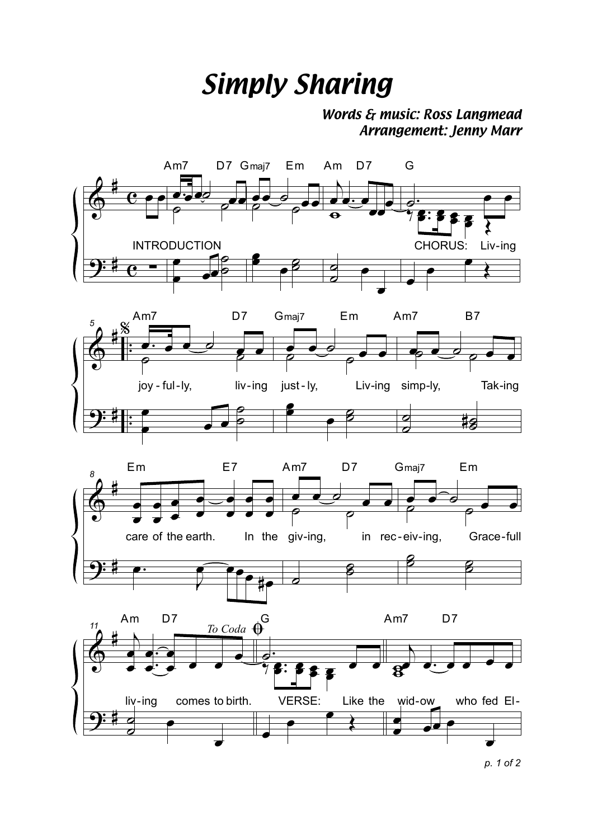## *Simply Sharing*

## *Words & music: Ross Langmead Arrangement: Jenny Marr*